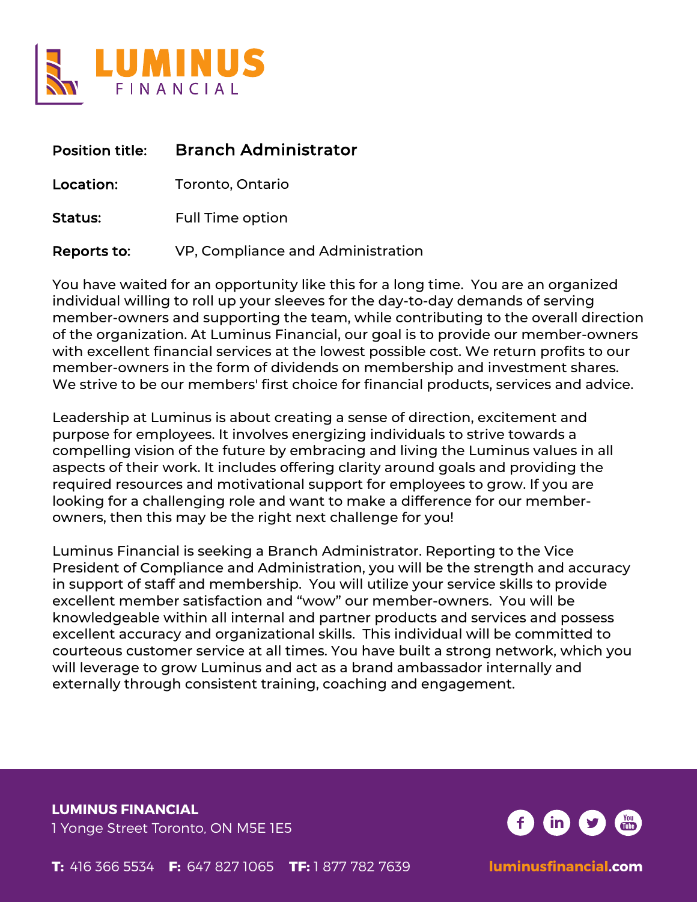

| <b>Position title:</b> | <b>Branch Administrator</b>       |
|------------------------|-----------------------------------|
| Location:              | Toronto, Ontario                  |
| Status:                | <b>Full Time option</b>           |
| Reports to:            | VP, Compliance and Administration |

You have waited for an opportunity like this for a long time. You are an organized individual willing to roll up your sleeves for the day-to-day demands of serving member-owners and supporting the team, while contributing to the overall direction of the organization. At Luminus Financial, our goal is to provide our member-owners with excellent financial services at the lowest possible cost. We return profits to our member-owners in the form of dividends on membership and investment shares. We strive to be our members' first choice for financial products, services and advice.

Leadership at Luminus is about creating a sense of direction, excitement and purpose for employees. It involves energizing individuals to strive towards a compelling vision of the future by embracing and living the Luminus values in all aspects of their work. It includes offering clarity around goals and providing the required resources and motivational support for employees to grow. If you are looking for a challenging role and want to make a difference for our memberowners, then this may be the right next challenge for you!

Luminus Financial is seeking a Branch Administrator. Reporting to the Vice President of Compliance and Administration, you will be the strength and accuracy in support of staff and membership. You will utilize your service skills to provide excellent member satisfaction and "wow" our member-owners. You will be knowledgeable within all internal and partner products and services and possess excellent accuracy and organizational skills. This individual will be committed to courteous customer service at all times. You have built a strong network, which you will leverage to grow Luminus and act as a brand ambassador internally and externally through consistent training, coaching and engagement.

**LUMINUS FINANCIAL** 1 Yonge Street Toronto, ON M5E 1E5

 $\mathsf{(in)}$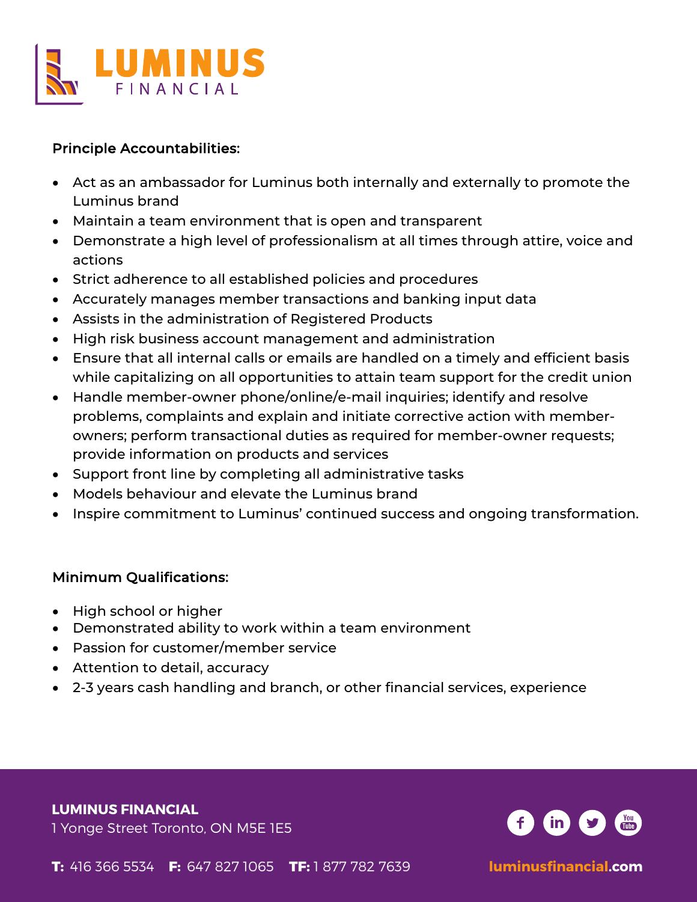

# Principle Accountabilities:

- Act as an ambassador for Luminus both internally and externally to promote the Luminus brand
- Maintain a team environment that is open and transparent
- Demonstrate a high level of professionalism at all times through attire, voice and actions
- Strict adherence to all established policies and procedures
- Accurately manages member transactions and banking input data
- Assists in the administration of Registered Products
- High risk business account management and administration
- Ensure that all internal calls or emails are handled on a timely and efficient basis while capitalizing on all opportunities to attain team support for the credit union
- Handle member-owner phone/online/e-mail inquiries; identify and resolve problems, complaints and explain and initiate corrective action with memberowners; perform transactional duties as required for member-owner requests; provide information on products and services
- Support front line by completing all administrative tasks
- Models behaviour and elevate the Luminus brand
- Inspire commitment to Luminus' continued success and ongoing transformation.

# Minimum Qualifications:

- High school or higher
- Demonstrated ability to work within a team environment
- Passion for customer/member service
- Attention to detail, accuracy
- 2-3 years cash handling and branch, or other financial services, experience

### **LUMINUS FINANCIAL**

1 Yonge Street Toronto, ON M5E 1E5

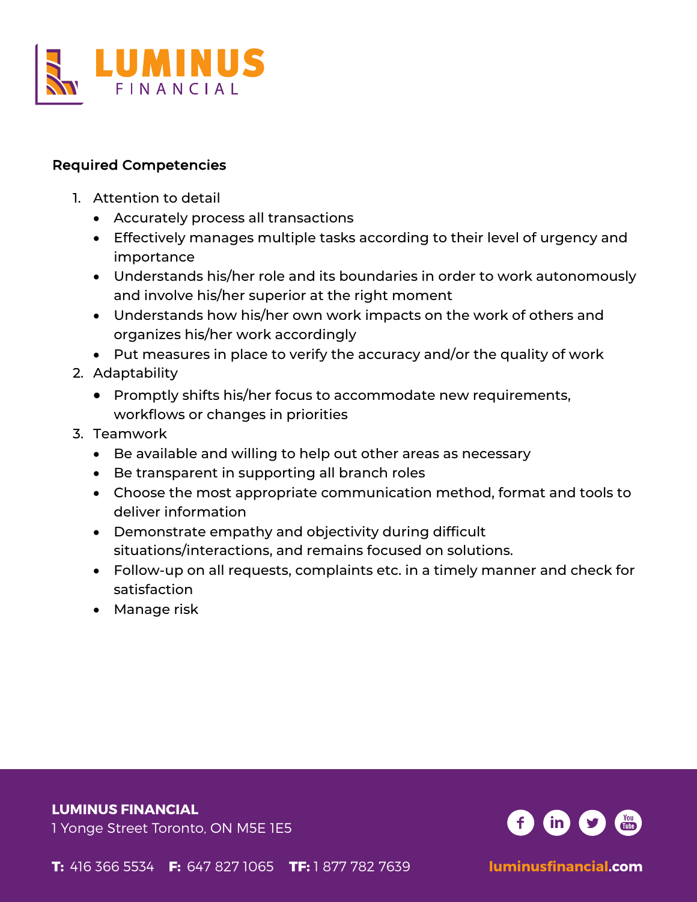

## Required Competencies

- 1. Attention to detail
	- Accurately process all transactions
	- Effectively manages multiple tasks according to their level of urgency and importance
	- Understands his/her role and its boundaries in order to work autonomously and involve his/her superior at the right moment
	- Understands how his/her own work impacts on the work of others and organizes his/her work accordingly
	- Put measures in place to verify the accuracy and/or the quality of work
- 2. Adaptability
	- Promptly shifts his/her focus to accommodate new requirements, workflows or changes in priorities
- 3. Teamwork
	- Be available and willing to help out other areas as necessary
	- Be transparent in supporting all branch roles
	- Choose the most appropriate communication method, format and tools to deliver information
	- Demonstrate empathy and objectivity during difficult situations/interactions, and remains focused on solutions.
	- Follow-up on all requests, complaints etc. in a timely manner and check for satisfaction
	- Manage risk

### **LUMINUS FINANCIAL**

1 Yonge Street Toronto, ON M5E 1E5